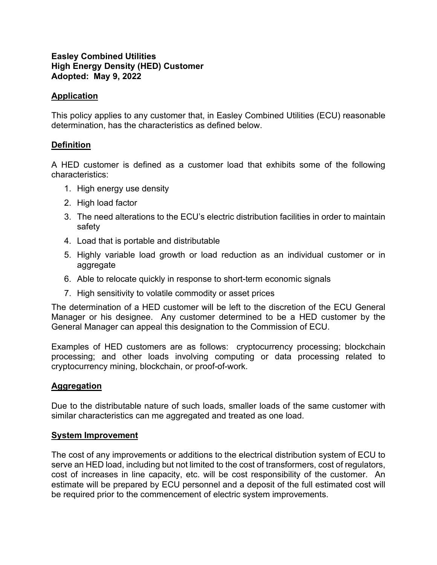### **Easley Combined Utilities High Energy Density (HED) Customer Adopted: May 9, 2022**

### **Application**

This policy applies to any customer that, in Easley Combined Utilities (ECU) reasonable determination, has the characteristics as defined below.

### **Definition**

A HED customer is defined as a customer load that exhibits some of the following characteristics:

- 1. High energy use density
- 2. High load factor
- 3. The need alterations to the ECU's electric distribution facilities in order to maintain safety
- 4. Load that is portable and distributable
- 5. Highly variable load growth or load reduction as an individual customer or in aggregate
- 6. Able to relocate quickly in response to short-term economic signals
- 7. High sensitivity to volatile commodity or asset prices

The determination of a HED customer will be left to the discretion of the ECU General Manager or his designee. Any customer determined to be a HED customer by the General Manager can appeal this designation to the Commission of ECU.

Examples of HED customers are as follows: cryptocurrency processing; blockchain processing; and other loads involving computing or data processing related to cryptocurrency mining, blockchain, or proof-of-work.

# **Aggregation**

Due to the distributable nature of such loads, smaller loads of the same customer with similar characteristics can me aggregated and treated as one load.

#### **System Improvement**

The cost of any improvements or additions to the electrical distribution system of ECU to serve an HED load, including but not limited to the cost of transformers, cost of regulators, cost of increases in line capacity, etc. will be cost responsibility of the customer. An estimate will be prepared by ECU personnel and a deposit of the full estimated cost will be required prior to the commencement of electric system improvements.